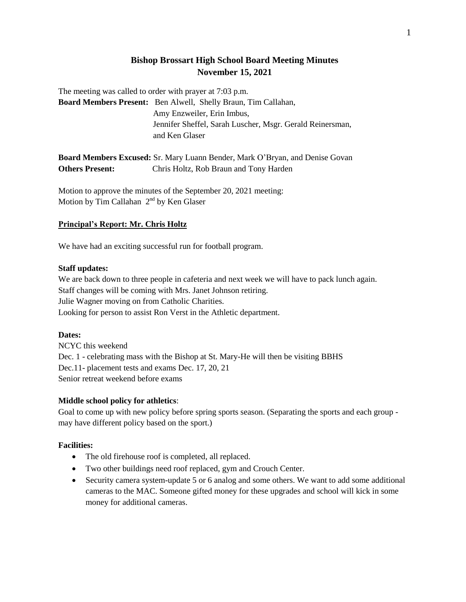## **Bishop Brossart High School Board Meeting Minutes November 15, 2021**

The meeting was called to order with prayer at 7:03 p.m.

**Board Members Present:** Ben Alwell, Shelly Braun, Tim Callahan, Amy Enzweiler, Erin Imbus, Jennifer Sheffel, Sarah Luscher, Msgr. Gerald Reinersman, and Ken Glaser

**Board Members Excused:** Sr. Mary Luann Bender, Mark O'Bryan, and Denise Govan **Others Present:** Chris Holtz, Rob Braun and Tony Harden

Motion to approve the minutes of the September 20, 2021 meeting: Motion by Tim Callahan  $2<sup>nd</sup>$  by Ken Glaser

## **Principal's Report: Mr. Chris Holtz**

We have had an exciting successful run for football program.

### **Staff updates:**

We are back down to three people in cafeteria and next week we will have to pack lunch again. Staff changes will be coming with Mrs. Janet Johnson retiring. Julie Wagner moving on from Catholic Charities. Looking for person to assist Ron Verst in the Athletic department.

## **Dates:**

NCYC this weekend Dec. 1 - celebrating mass with the Bishop at St. Mary-He will then be visiting BBHS Dec.11- placement tests and exams Dec. 17, 20, 21 Senior retreat weekend before exams

## **Middle school policy for athletics**:

Goal to come up with new policy before spring sports season. (Separating the sports and each group may have different policy based on the sport.)

## **Facilities:**

- The old firehouse roof is completed, all replaced.
- Two other buildings need roof replaced, gym and Crouch Center.
- Security camera system-update 5 or 6 analog and some others. We want to add some additional cameras to the MAC. Someone gifted money for these upgrades and school will kick in some money for additional cameras.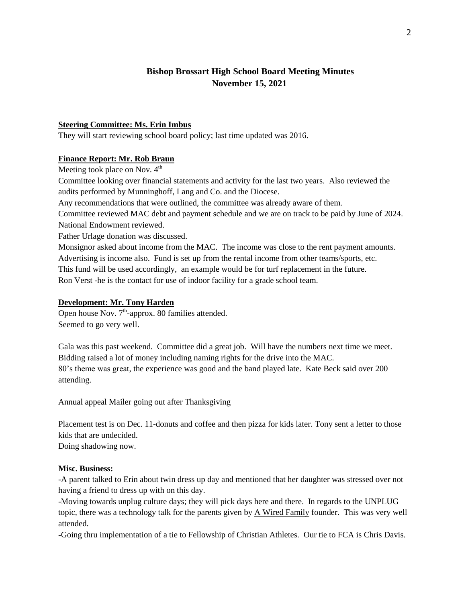# **Bishop Brossart High School Board Meeting Minutes November 15, 2021**

## **Steering Committee: Ms. Erin Imbus**

They will start reviewing school board policy; last time updated was 2016.

### **Finance Report: Mr. Rob Braun**

Meeting took place on Nov.  $4<sup>th</sup>$ 

Committee looking over financial statements and activity for the last two years. Also reviewed the audits performed by Munninghoff, Lang and Co. and the Diocese.

Any recommendations that were outlined, the committee was already aware of them.

Committee reviewed MAC debt and payment schedule and we are on track to be paid by June of 2024. National Endowment reviewed.

Father Urlage donation was discussed.

Monsignor asked about income from the MAC. The income was close to the rent payment amounts. Advertising is income also. Fund is set up from the rental income from other teams/sports, etc. This fund will be used accordingly, an example would be for turf replacement in the future. Ron Verst -he is the contact for use of indoor facility for a grade school team.

## **Development: Mr. Tony Harden**

Open house Nov.  $7<sup>th</sup>$ -approx. 80 families attended. Seemed to go very well.

Gala was this past weekend. Committee did a great job. Will have the numbers next time we meet. Bidding raised a lot of money including naming rights for the drive into the MAC. 80's theme was great, the experience was good and the band played late. Kate Beck said over 200 attending.

Annual appeal Mailer going out after Thanksgiving

Placement test is on Dec. 11-donuts and coffee and then pizza for kids later. Tony sent a letter to those kids that are undecided.

Doing shadowing now.

### **Misc. Business:**

-A parent talked to Erin about twin dress up day and mentioned that her daughter was stressed over not having a friend to dress up with on this day.

-Moving towards unplug culture days; they will pick days here and there. In regards to the UNPLUG topic, there was a technology talk for the parents given by A Wired Family founder. This was very well attended.

-Going thru implementation of a tie to Fellowship of Christian Athletes. Our tie to FCA is Chris Davis.